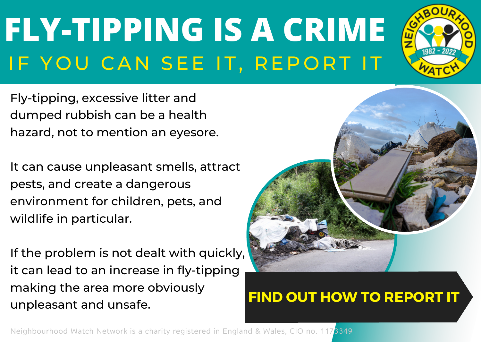# **FLY-TIPPING IS A CRIME** IF YOU CAN SEE IT, REPORT IT



It can cause unpleasant smells, attract pests, and create a dangerous environment for children, pets, and wildlife in particular.

If the problem is not dealt with quickly, it can lead to an increase in fly-tipping making the area more obviously unpleasant and unsafe.



Neighbourhood Watch Network is a charity registered in England & Wales, CIO no. 1173349